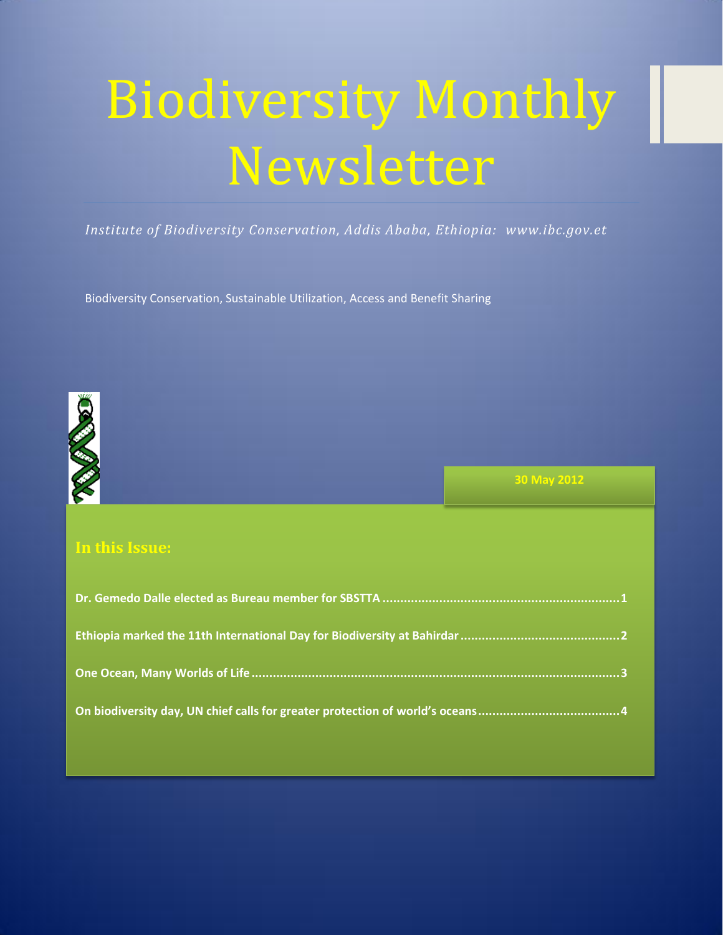# Biodiversity Monthly Newsletter

*Institute of Biodiversity Conservation, Addis Ababa, Ethiopia: www.ibc.gov.et*

Biodiversity Conservation, Sustainable Utilization, Access and Benefit Sharing



**30 May 2012**

## **In this Issue:**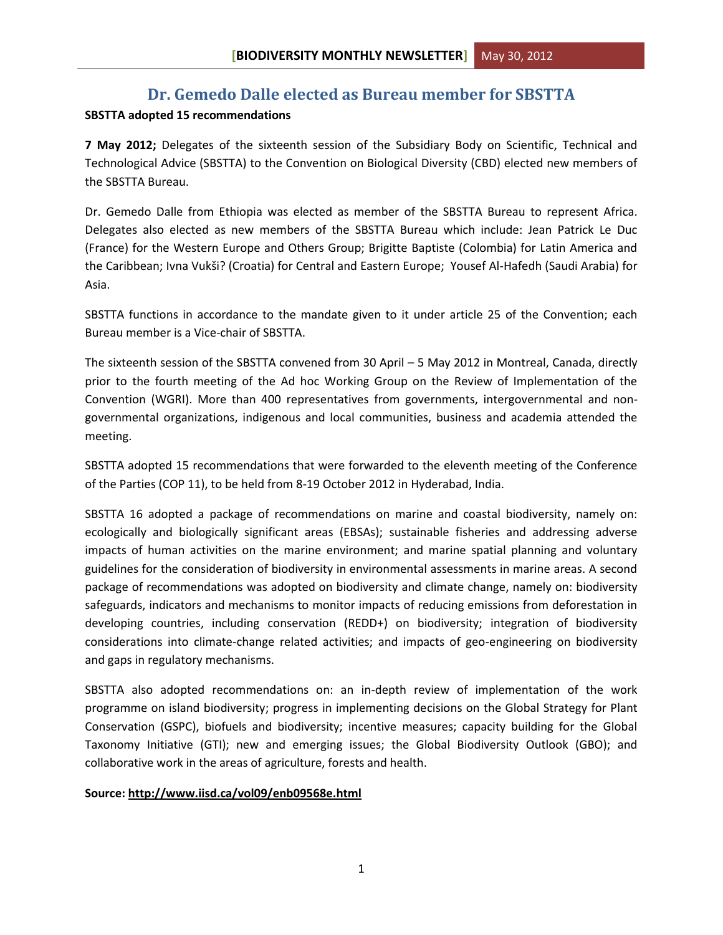## **Dr. Gemedo Dalle elected as Bureau member for SBSTTA**

#### <span id="page-1-0"></span>**SBSTTA adopted 15 recommendations**

**7 May 2012;** Delegates of the sixteenth session of the Subsidiary Body on Scientific, Technical and Technological Advice (SBSTTA) to the Convention on Biological Diversity (CBD) elected new members of the SBSTTA Bureau.

Dr. Gemedo Dalle from Ethiopia was elected as member of the SBSTTA Bureau to represent Africa. Delegates also elected as new members of the SBSTTA Bureau which include: Jean Patrick Le Duc (France) for the Western Europe and Others Group; Brigitte Baptiste (Colombia) for Latin America and the Caribbean; Ivna Vukši? (Croatia) for Central and Eastern Europe; Yousef Al-Hafedh (Saudi Arabia) for Asia.

SBSTTA functions in accordance to the mandate given to it under article 25 of the Convention; each Bureau member is a Vice-chair of SBSTTA.

The sixteenth session of the SBSTTA convened from 30 April – 5 May 2012 in Montreal, Canada, directly prior to the fourth meeting of the Ad hoc Working Group on the Review of Implementation of the Convention (WGRI). More than 400 representatives from governments, intergovernmental and nongovernmental organizations, indigenous and local communities, business and academia attended the meeting.

SBSTTA adopted 15 recommendations that were forwarded to the eleventh meeting of the Conference of the Parties (COP 11), to be held from 8-19 October 2012 in Hyderabad, India.

SBSTTA 16 adopted a package of recommendations on marine and coastal biodiversity, namely on: ecologically and biologically significant areas (EBSAs); sustainable fisheries and addressing adverse impacts of human activities on the marine environment; and marine spatial planning and voluntary guidelines for the consideration of biodiversity in environmental assessments in marine areas. A second package of recommendations was adopted on biodiversity and climate change, namely on: biodiversity safeguards, indicators and mechanisms to monitor impacts of reducing emissions from deforestation in developing countries, including conservation (REDD+) on biodiversity; integration of biodiversity considerations into climate-change related activities; and impacts of geo-engineering on biodiversity and gaps in regulatory mechanisms.

SBSTTA also adopted recommendations on: an in-depth review of implementation of the work programme on island biodiversity; progress in implementing decisions on the Global Strategy for Plant Conservation (GSPC), biofuels and biodiversity; incentive measures; capacity building for the Global Taxonomy Initiative (GTI); new and emerging issues; the Global Biodiversity Outlook (GBO); and collaborative work in the areas of agriculture, forests and health.

#### **Source[: http://www.iisd.ca/vol09/enb09568e.html](http://www.iisd.ca/vol09/enb09568e.html)**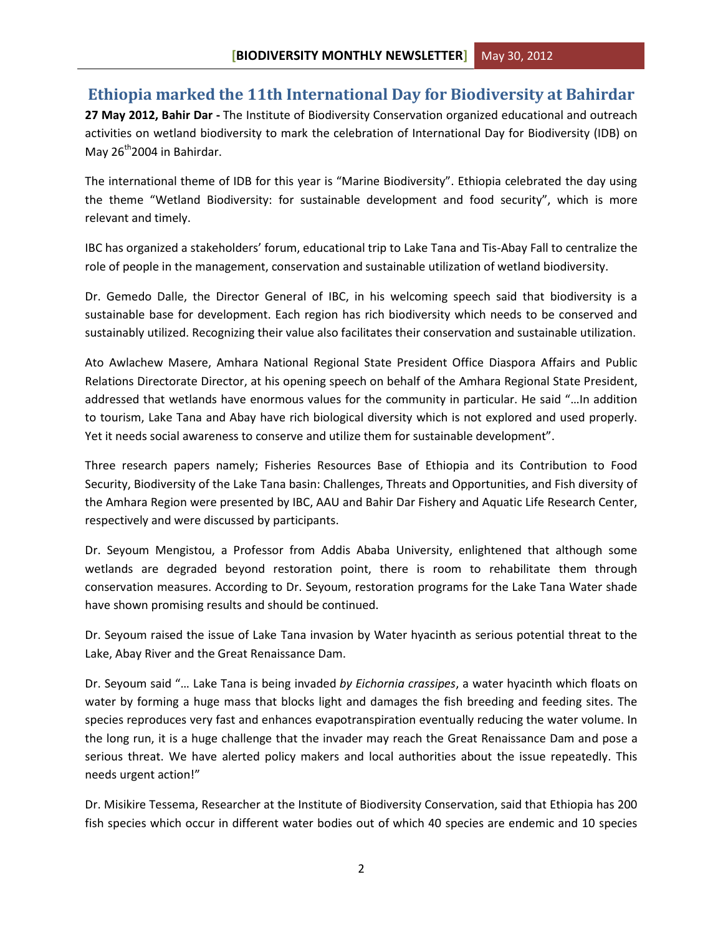## <span id="page-2-0"></span>**Ethiopia marked the 11th International Day for Biodiversity at Bahirdar**

**27 May 2012, Bahir Dar -** The Institute of Biodiversity Conservation organized educational and outreach activities on wetland biodiversity to mark the celebration of International Day for Biodiversity (IDB) on May  $26<sup>th</sup>$ 2004 in Bahirdar.

The international theme of IDB for this year is "Marine Biodiversity". Ethiopia celebrated the day using the theme "Wetland Biodiversity: for sustainable development and food security", which is more relevant and timely.

IBC has organized a stakeholders' forum, educational trip to Lake Tana and Tis-Abay Fall to centralize the role of people in the management, conservation and sustainable utilization of wetland biodiversity.

Dr. Gemedo Dalle, the Director General of IBC, in his welcoming speech said that biodiversity is a sustainable base for development. Each region has rich biodiversity which needs to be conserved and sustainably utilized. Recognizing their value also facilitates their conservation and sustainable utilization.

Ato Awlachew Masere, Amhara National Regional State President Office Diaspora Affairs and Public Relations Directorate Director, at his opening speech on behalf of the Amhara Regional State President, addressed that wetlands have enormous values for the community in particular. He said "…In addition to tourism, Lake Tana and Abay have rich biological diversity which is not explored and used properly. Yet it needs social awareness to conserve and utilize them for sustainable development".

Three research papers namely; Fisheries Resources Base of Ethiopia and its Contribution to Food Security, Biodiversity of the Lake Tana basin: Challenges, Threats and Opportunities, and Fish diversity of the Amhara Region were presented by IBC, AAU and Bahir Dar Fishery and Aquatic Life Research Center, respectively and were discussed by participants.

Dr. Seyoum Mengistou, a Professor from Addis Ababa University, enlightened that although some wetlands are degraded beyond restoration point, there is room to rehabilitate them through conservation measures. According to Dr. Seyoum, restoration programs for the Lake Tana Water shade have shown promising results and should be continued.

Dr. Seyoum raised the issue of Lake Tana invasion by Water hyacinth as serious potential threat to the Lake, Abay River and the Great Renaissance Dam.

Dr. Seyoum said "… Lake Tana is being invaded *by Eichornia crassipes*, a water hyacinth which floats on water by forming a huge mass that blocks light and damages the fish breeding and feeding sites. The species reproduces very fast and enhances evapotranspiration eventually reducing the water volume. In the long run, it is a huge challenge that the invader may reach the Great Renaissance Dam and pose a serious threat. We have alerted policy makers and local authorities about the issue repeatedly. This needs urgent action!"

Dr. Misikire Tessema, Researcher at the Institute of Biodiversity Conservation, said that Ethiopia has 200 fish species which occur in different water bodies out of which 40 species are endemic and 10 species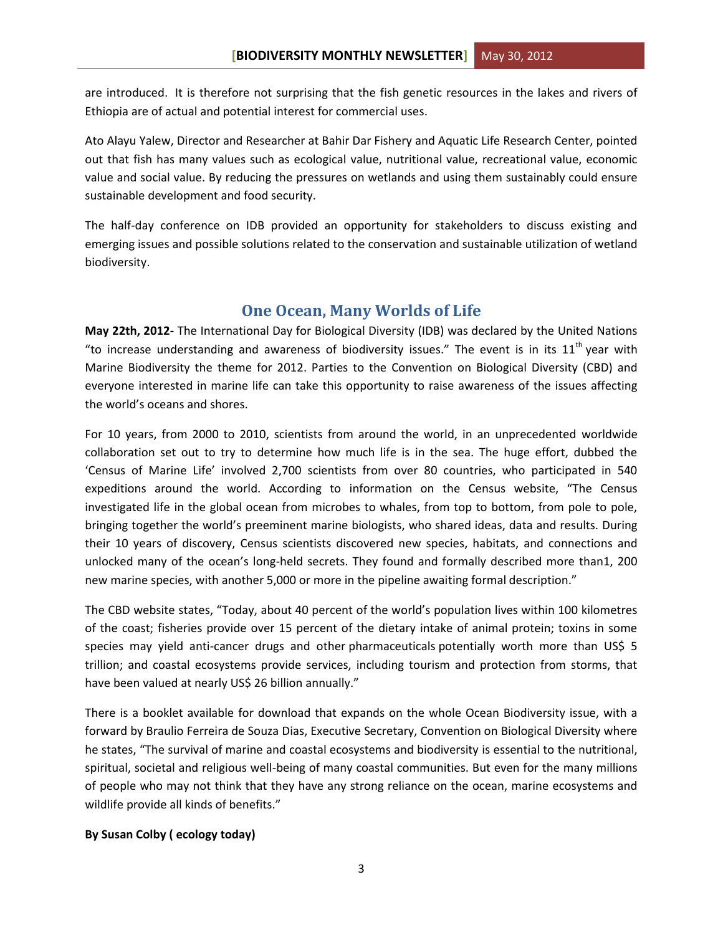are introduced. It is therefore not surprising that the fish genetic resources in the lakes and rivers of Ethiopia are of actual and potential interest for commercial uses.

Ato Alayu Yalew, Director and Researcher at Bahir Dar Fishery and Aquatic Life Research Center, pointed out that fish has many values such as ecological value, nutritional value, recreational value, economic value and social value. By reducing the pressures on wetlands and using them sustainably could ensure sustainable development and food security.

The half-day conference on IDB provided an opportunity for stakeholders to discuss existing and emerging issues and possible solutions related to the conservation and sustainable utilization of wetland biodiversity.

### **One Ocean, Many Worlds of Life**

<span id="page-3-0"></span>**May 22th, 2012-** The International Day for Biological Diversity (IDB) was declared by the United Nations "to increase understanding and awareness of biodiversity issues." The event is in its  $11<sup>th</sup>$  year with Marine Biodiversity the theme for 2012. Parties to the Convention on Biological Diversity (CBD) and everyone interested in marine life can take this opportunity to raise awareness of the issues affecting the world's oceans and shores.

For 10 years, from 2000 to 2010, scientists from around the world, in an unprecedented worldwide collaboration set out to try to determine how much life is in the sea. The huge effort, dubbed the 'Census of Marine Life' involved 2,700 scientists from over 80 countries, who participated in 540 expeditions around the world. According to information on the Census website, "The Census investigated life in the global ocean from microbes to whales, from top to bottom, from pole to pole, bringing together the world's preeminent marine biologists, who shared ideas, data and results. During their 10 years of discovery, Census scientists discovered new species, habitats, and connections and unlocked many of the ocean's long-held secrets. They found and formally described more than1, 200 new marine species, with another 5,000 or more in the pipeline awaiting formal description."

The CBD website states, "Today, about 40 percent of the world's population lives within 100 kilometres of the coast; fisheries provide over 15 percent of the dietary intake of animal protein; toxins in some species may yield anti-cancer drugs and other pharmaceuticals potentially worth more than US\$ 5 trillion; and coastal ecosystems provide services, including tourism and protection from storms, that have been valued at nearly US\$ 26 billion annually."

There is a booklet available for download that expands on the whole Ocean Biodiversity issue, with a forward by Braulio Ferreira de Souza Dias, Executive Secretary, Convention on Biological Diversity where he states, "The survival of marine and coastal ecosystems and biodiversity is essential to the nutritional, spiritual, societal and religious well-being of many coastal communities. But even for the many millions of people who may not think that they have any strong reliance on the ocean, marine ecosystems and wildlife provide all kinds of benefits."

#### **By Susan Colby ( ecology today)**